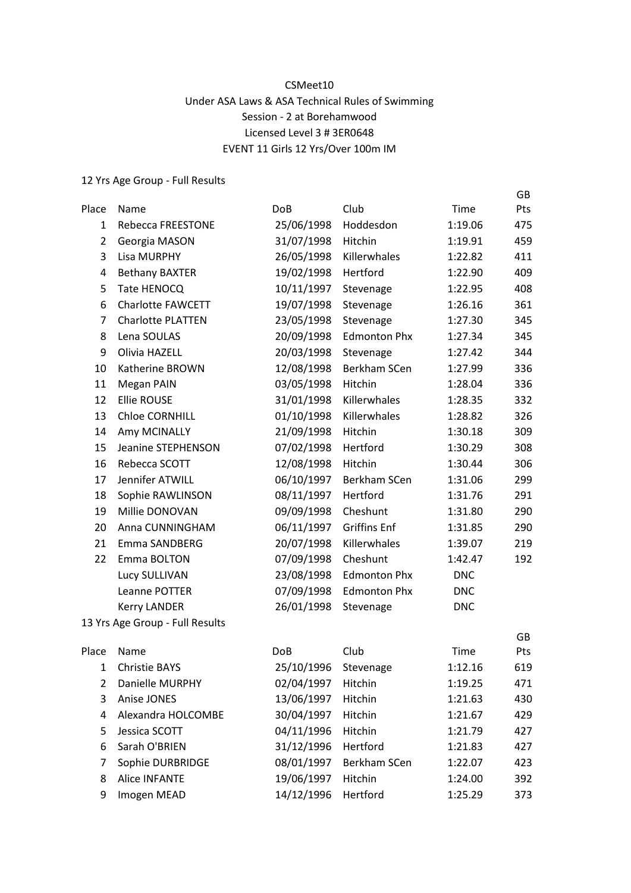## CSMeet10 Under ASA Laws & ASA Technical Rules of Swimming Session - 2 at Borehamwood Licensed Level 3 # 3ER0648 EVENT 11 Girls 12 Yrs/Over 100m IM

GB

| Place          | Name                            | <b>DoB</b> | Club                | Time       | Pts |
|----------------|---------------------------------|------------|---------------------|------------|-----|
| $\mathbf{1}$   | Rebecca FREESTONE               | 25/06/1998 | Hoddesdon           | 1:19.06    | 475 |
| $\overline{2}$ | Georgia MASON                   | 31/07/1998 | Hitchin             | 1:19.91    | 459 |
| 3              | <b>Lisa MURPHY</b>              | 26/05/1998 | Killerwhales        | 1:22.82    | 411 |
| 4              | <b>Bethany BAXTER</b>           | 19/02/1998 | Hertford            | 1:22.90    | 409 |
| 5              | Tate HENOCQ                     | 10/11/1997 | Stevenage           | 1:22.95    | 408 |
| 6              | <b>Charlotte FAWCETT</b>        | 19/07/1998 | Stevenage           | 1:26.16    | 361 |
| $\overline{7}$ | <b>Charlotte PLATTEN</b>        | 23/05/1998 | Stevenage           | 1:27.30    | 345 |
| 8              | Lena SOULAS                     | 20/09/1998 | <b>Edmonton Phx</b> | 1:27.34    | 345 |
| 9              | Olivia HAZELL                   | 20/03/1998 | Stevenage           | 1:27.42    | 344 |
| 10             | Katherine BROWN                 | 12/08/1998 | Berkham SCen        | 1:27.99    | 336 |
| 11             | Megan PAIN                      | 03/05/1998 | Hitchin             | 1:28.04    | 336 |
| 12             | <b>Ellie ROUSE</b>              | 31/01/1998 | Killerwhales        | 1:28.35    | 332 |
| 13             | <b>Chloe CORNHILL</b>           | 01/10/1998 | Killerwhales        | 1:28.82    | 326 |
| 14             | Amy MCINALLY                    | 21/09/1998 | Hitchin             | 1:30.18    | 309 |
| 15             | Jeanine STEPHENSON              | 07/02/1998 | Hertford            | 1:30.29    | 308 |
| 16             | Rebecca SCOTT                   | 12/08/1998 | Hitchin             | 1:30.44    | 306 |
| 17             | Jennifer ATWILL                 | 06/10/1997 | Berkham SCen        | 1:31.06    | 299 |
| 18             | Sophie RAWLINSON                | 08/11/1997 | Hertford            | 1:31.76    | 291 |
| 19             | Millie DONOVAN                  | 09/09/1998 | Cheshunt            | 1:31.80    | 290 |
| 20             | Anna CUNNINGHAM                 | 06/11/1997 | <b>Griffins Enf</b> | 1:31.85    | 290 |
| 21             | Emma SANDBERG                   | 20/07/1998 | Killerwhales        | 1:39.07    | 219 |
| 22             | Emma BOLTON                     | 07/09/1998 | Cheshunt            | 1:42.47    | 192 |
|                | Lucy SULLIVAN                   | 23/08/1998 | <b>Edmonton Phx</b> | <b>DNC</b> |     |
|                | Leanne POTTER                   | 07/09/1998 | <b>Edmonton Phx</b> | <b>DNC</b> |     |
|                | <b>Kerry LANDER</b>             | 26/01/1998 | Stevenage           | <b>DNC</b> |     |
|                | 13 Yrs Age Group - Full Results |            |                     |            |     |
|                |                                 |            |                     |            | GB  |
| Place          | Name                            | <b>DoB</b> | Club                | Time       | Pts |
| $\mathbf{1}$   | Christie BAYS                   | 25/10/1996 | Stevenage           | 1:12.16    | 619 |
| 2              | Danielle MURPHY                 | 02/04/1997 | Hitchin             | 1:19.25    | 471 |
| 3              | Anise JONES                     | 13/06/1997 | Hitchin             | 1:21.63    | 430 |
| 4              | Alexandra HOLCOMBE              | 30/04/1997 | Hitchin             | 1:21.67    | 429 |
| 5              | Jessica SCOTT                   | 04/11/1996 | Hitchin             | 1:21.79    | 427 |
| 6              | Sarah O'BRIEN                   | 31/12/1996 | Hertford            | 1:21.83    | 427 |
| 7              | Sophie DURBRIDGE                | 08/01/1997 | Berkham SCen        | 1:22.07    | 423 |
| 8              | <b>Alice INFANTE</b>            | 19/06/1997 | Hitchin             | 1:24.00    | 392 |
| 9              | Imogen MEAD                     | 14/12/1996 | Hertford            | 1:25.29    | 373 |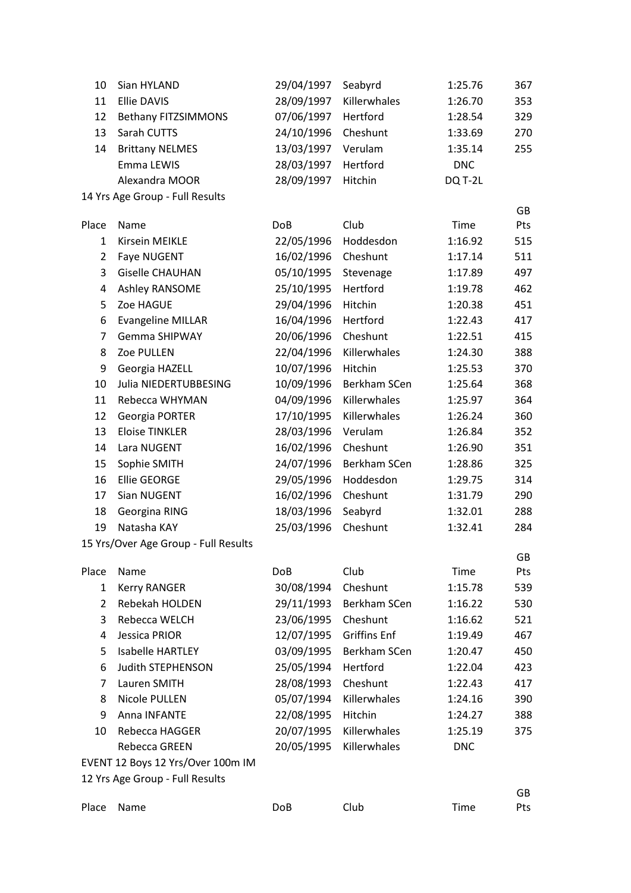| 10             | Sian HYLAND                          | 29/04/1997 | Seabyrd             | 1:25.76     | 367       |
|----------------|--------------------------------------|------------|---------------------|-------------|-----------|
| 11             | <b>Ellie DAVIS</b>                   | 28/09/1997 | Killerwhales        | 1:26.70     | 353       |
| 12             | <b>Bethany FITZSIMMONS</b>           | 07/06/1997 | Hertford            | 1:28.54     | 329       |
| 13             | Sarah CUTTS                          | 24/10/1996 | Cheshunt            | 1:33.69     | 270       |
| 14             | <b>Brittany NELMES</b>               | 13/03/1997 | Verulam             | 1:35.14     | 255       |
|                | Emma LEWIS                           | 28/03/1997 | Hertford            | <b>DNC</b>  |           |
|                | Alexandra MOOR                       | 28/09/1997 | Hitchin             | DQ T-2L     |           |
|                | 14 Yrs Age Group - Full Results      |            |                     |             |           |
| Place          | Name                                 | <b>DoB</b> | Club                | Time        | GB<br>Pts |
| $\mathbf{1}$   | Kirsein MEIKLE                       | 22/05/1996 | Hoddesdon           | 1:16.92     | 515       |
| $\overline{2}$ | Faye NUGENT                          | 16/02/1996 | Cheshunt            | 1:17.14     | 511       |
| 3              | <b>Giselle CHAUHAN</b>               | 05/10/1995 | Stevenage           | 1:17.89     | 497       |
| $\overline{a}$ | Ashley RANSOME                       | 25/10/1995 | Hertford            | 1:19.78     | 462       |
| 5              | Zoe HAGUE                            | 29/04/1996 | Hitchin             | 1:20.38     | 451       |
| 6              | <b>Evangeline MILLAR</b>             | 16/04/1996 | Hertford            | 1:22.43     | 417       |
| $\overline{7}$ | <b>Gemma SHIPWAY</b>                 | 20/06/1996 | Cheshunt            | 1:22.51     | 415       |
| 8              | Zoe PULLEN                           | 22/04/1996 | Killerwhales        | 1:24.30     | 388       |
| 9              | Georgia HAZELL                       | 10/07/1996 | Hitchin             | 1:25.53     | 370       |
| 10             | Julia NIEDERTUBBESING                | 10/09/1996 | Berkham SCen        | 1:25.64     | 368       |
| 11             | Rebecca WHYMAN                       | 04/09/1996 | Killerwhales        | 1:25.97     | 364       |
| 12             | Georgia PORTER                       | 17/10/1995 | Killerwhales        | 1:26.24     | 360       |
| 13             | <b>Eloise TINKLER</b>                | 28/03/1996 | Verulam             | 1:26.84     | 352       |
| 14             | Lara NUGENT                          | 16/02/1996 | Cheshunt            | 1:26.90     | 351       |
| 15             | Sophie SMITH                         | 24/07/1996 | Berkham SCen        | 1:28.86     | 325       |
| 16             | <b>Ellie GEORGE</b>                  | 29/05/1996 | Hoddesdon           | 1:29.75     | 314       |
| 17             | Sian NUGENT                          | 16/02/1996 | Cheshunt            | 1:31.79     | 290       |
| 18             | Georgina RING                        | 18/03/1996 | Seabyrd             | 1:32.01     | 288       |
| 19             | Natasha KAY                          | 25/03/1996 | Cheshunt            | 1:32.41     | 284       |
|                | 15 Yrs/Over Age Group - Full Results |            |                     |             |           |
| Place          | Name                                 | DoB        | Club                | Time        | GB<br>Pts |
| $\mathbf{1}$   | <b>Kerry RANGER</b>                  | 30/08/1994 | Cheshunt            | 1:15.78     | 539       |
| $\overline{2}$ | Rebekah HOLDEN                       | 29/11/1993 | Berkham SCen        | 1:16.22     | 530       |
| 3              | Rebecca WELCH                        | 23/06/1995 | Cheshunt            | 1:16.62     | 521       |
| 4              | Jessica PRIOR                        | 12/07/1995 | <b>Griffins Enf</b> | 1:19.49     | 467       |
| 5              | <b>Isabelle HARTLEY</b>              | 03/09/1995 | Berkham SCen        | 1:20.47     | 450       |
| 6              | <b>Judith STEPHENSON</b>             | 25/05/1994 | Hertford            | 1:22.04     | 423       |
| 7              | Lauren SMITH                         | 28/08/1993 | Cheshunt            | 1:22.43     | 417       |
| 8              | Nicole PULLEN                        | 05/07/1994 | Killerwhales        | 1:24.16     | 390       |
| 9              | Anna INFANTE                         | 22/08/1995 | Hitchin             | 1:24.27     | 388       |
| 10             | Rebecca HAGGER                       | 20/07/1995 | Killerwhales        | 1:25.19     | 375       |
|                | Rebecca GREEN                        | 20/05/1995 | Killerwhales        | <b>DNC</b>  |           |
|                | EVENT 12 Boys 12 Yrs/Over 100m IM    |            |                     |             |           |
|                | 12 Yrs Age Group - Full Results      |            |                     |             |           |
|                |                                      |            |                     |             | GB        |
| Place          | Name                                 | DoB        | Club                | <b>Time</b> | Pts       |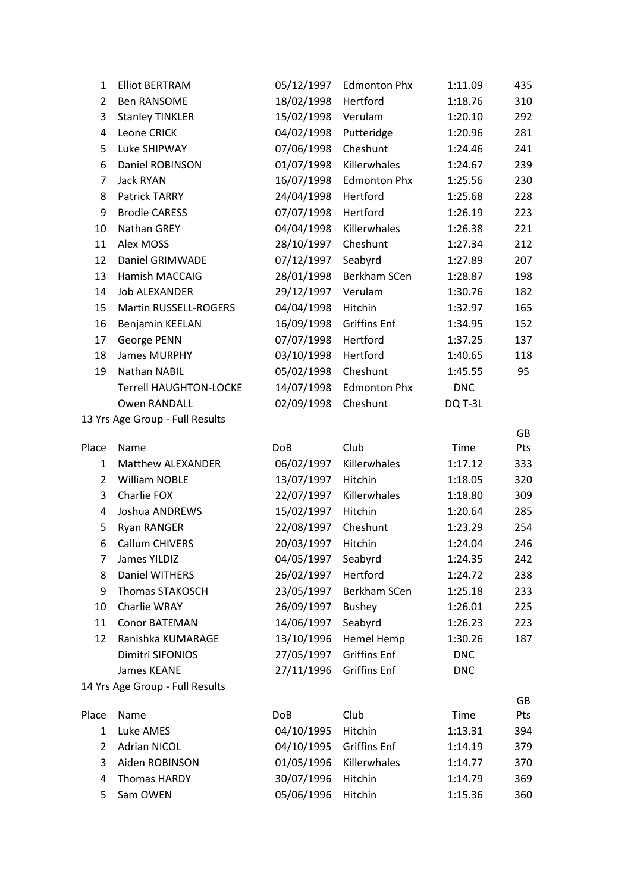| 1              | <b>Elliot BERTRAM</b>           | 05/12/1997 | <b>Edmonton Phx</b> | 1:11.09    | 435 |
|----------------|---------------------------------|------------|---------------------|------------|-----|
| $\overline{2}$ | <b>Ben RANSOME</b>              | 18/02/1998 | Hertford            | 1:18.76    | 310 |
| 3              | <b>Stanley TINKLER</b>          | 15/02/1998 | Verulam             | 1:20.10    | 292 |
| 4              | Leone CRICK                     | 04/02/1998 | Putteridge          | 1:20.96    | 281 |
| 5              | Luke SHIPWAY                    | 07/06/1998 | Cheshunt            | 1:24.46    | 241 |
| 6              | Daniel ROBINSON                 | 01/07/1998 | Killerwhales        | 1:24.67    | 239 |
| 7              | <b>Jack RYAN</b>                | 16/07/1998 | <b>Edmonton Phx</b> | 1:25.56    | 230 |
| 8              | Patrick TARRY                   | 24/04/1998 | Hertford            | 1:25.68    | 228 |
| 9              | <b>Brodie CARESS</b>            | 07/07/1998 | Hertford            | 1:26.19    | 223 |
| 10             | Nathan GREY                     | 04/04/1998 | Killerwhales        | 1:26.38    | 221 |
| 11             | Alex MOSS                       | 28/10/1997 | Cheshunt            | 1:27.34    | 212 |
| 12             | Daniel GRIMWADE                 | 07/12/1997 | Seabyrd             | 1:27.89    | 207 |
| 13             | Hamish MACCAIG                  | 28/01/1998 | Berkham SCen        | 1:28.87    | 198 |
| 14             | <b>Job ALEXANDER</b>            | 29/12/1997 | Verulam             | 1:30.76    | 182 |
| 15             | <b>Martin RUSSELL-ROGERS</b>    | 04/04/1998 | Hitchin             | 1:32.97    | 165 |
| 16             | Benjamin KEELAN                 | 16/09/1998 | <b>Griffins Enf</b> | 1:34.95    | 152 |
| 17             | George PENN                     | 07/07/1998 | Hertford            | 1:37.25    | 137 |
| 18             | <b>James MURPHY</b>             | 03/10/1998 | Hertford            | 1:40.65    | 118 |
| 19             | Nathan NABIL                    | 05/02/1998 | Cheshunt            | 1:45.55    | 95  |
|                | <b>Terrell HAUGHTON-LOCKE</b>   | 14/07/1998 | <b>Edmonton Phx</b> | <b>DNC</b> |     |
|                | <b>Owen RANDALL</b>             | 02/09/1998 | Cheshunt            | DQ T-3L    |     |
|                | 13 Yrs Age Group - Full Results |            |                     |            |     |
|                |                                 |            |                     |            | GB  |
| Place          | Name                            | <b>DoB</b> | Club                | Time       | Pts |
| $\mathbf{1}$   | Matthew ALEXANDER               | 06/02/1997 | Killerwhales        | 1:17.12    | 333 |
| $\overline{2}$ | <b>William NOBLE</b>            | 13/07/1997 | Hitchin             | 1:18.05    | 320 |
| 3              | Charlie FOX                     | 22/07/1997 | Killerwhales        | 1:18.80    | 309 |
| 4              | Joshua ANDREWS                  | 15/02/1997 | Hitchin             | 1:20.64    | 285 |
| 5              | <b>Ryan RANGER</b>              | 22/08/1997 | Cheshunt            | 1:23.29    | 254 |
| 6              | <b>Callum CHIVERS</b>           | 20/03/1997 | Hitchin             | 1:24.04    | 246 |
| 7              | James YILDIZ                    | 04/05/1997 | Seabyrd             | 1:24.35    | 242 |
| 8              | Daniel WITHERS                  | 26/02/1997 | Hertford            | 1:24.72    | 238 |
| 9              | Thomas STAKOSCH                 | 23/05/1997 | Berkham SCen        | 1:25.18    | 233 |
| 10             | Charlie WRAY                    | 26/09/1997 | <b>Bushey</b>       | 1:26.01    | 225 |
| 11             | <b>Conor BATEMAN</b>            | 14/06/1997 | Seabyrd             | 1:26.23    | 223 |
| 12             | Ranishka KUMARAGE               | 13/10/1996 | Hemel Hemp          | 1:30.26    | 187 |
|                | Dimitri SIFONIOS                | 27/05/1997 | <b>Griffins Enf</b> | <b>DNC</b> |     |
|                | James KEANE                     | 27/11/1996 | <b>Griffins Enf</b> | <b>DNC</b> |     |
|                | 14 Yrs Age Group - Full Results |            |                     |            |     |
|                |                                 |            |                     |            | GB  |
| Place          | Name                            | <b>DoB</b> | Club                | Time       | Pts |
| $\mathbf{1}$   | Luke AMES                       | 04/10/1995 | Hitchin             | 1:13.31    | 394 |
| $\overline{2}$ | <b>Adrian NICOL</b>             | 04/10/1995 | <b>Griffins Enf</b> | 1:14.19    | 379 |
| 3              | Aiden ROBINSON                  | 01/05/1996 | Killerwhales        | 1:14.77    | 370 |
| 4              | <b>Thomas HARDY</b>             | 30/07/1996 | Hitchin             | 1:14.79    | 369 |
| 5              | Sam OWEN                        | 05/06/1996 | Hitchin             | 1:15.36    | 360 |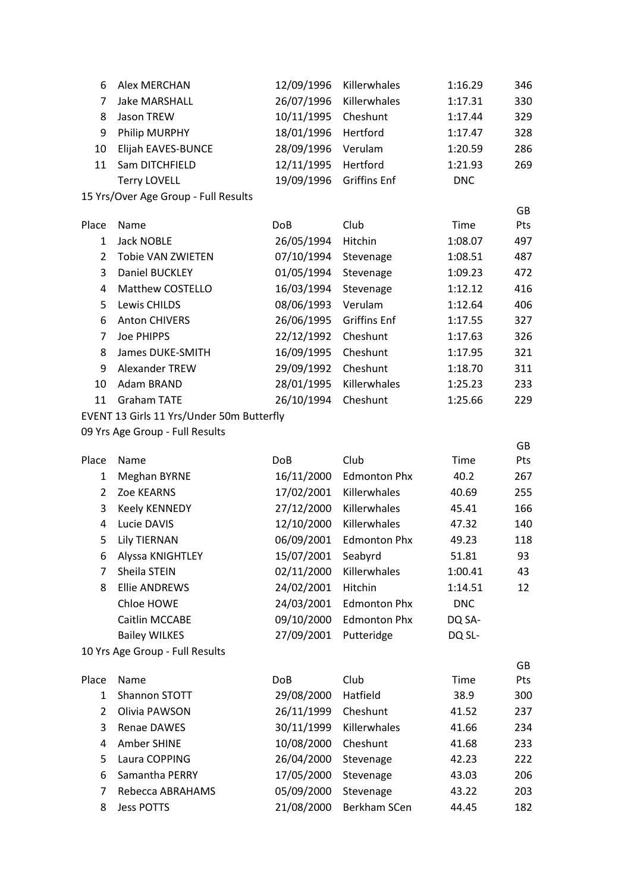| 6                                                                                                                     | Alex MERCHAN                         | 12/09/1996 | Killerwhales        | 1:16.29    | 346 |  |
|-----------------------------------------------------------------------------------------------------------------------|--------------------------------------|------------|---------------------|------------|-----|--|
| 7                                                                                                                     | <b>Jake MARSHALL</b>                 | 26/07/1996 | Killerwhales        | 1:17.31    | 330 |  |
| 8                                                                                                                     | Jason TREW                           | 10/11/1995 | Cheshunt            | 1:17.44    | 329 |  |
| 9                                                                                                                     | Philip MURPHY                        | 18/01/1996 | Hertford            | 1:17.47    | 328 |  |
| 10                                                                                                                    | Elijah EAVES-BUNCE                   | 28/09/1996 | Verulam             | 1:20.59    | 286 |  |
| 11                                                                                                                    | Sam DITCHFIELD                       | 12/11/1995 | Hertford            | 1:21.93    | 269 |  |
|                                                                                                                       | <b>Terry LOVELL</b>                  | 19/09/1996 | <b>Griffins Enf</b> | <b>DNC</b> |     |  |
|                                                                                                                       | 15 Yrs/Over Age Group - Full Results |            |                     |            |     |  |
|                                                                                                                       |                                      |            |                     |            | GB  |  |
| Place                                                                                                                 | Name                                 | <b>DoB</b> | Club                | Time       | Pts |  |
| 1                                                                                                                     | <b>Jack NOBLE</b>                    | 26/05/1994 | Hitchin             | 1:08.07    | 497 |  |
| $\overline{2}$                                                                                                        | <b>Tobie VAN ZWIETEN</b>             | 07/10/1994 | Stevenage           | 1:08.51    | 487 |  |
| 3                                                                                                                     | Daniel BUCKLEY                       | 01/05/1994 | Stevenage           | 1:09.23    | 472 |  |
| 4                                                                                                                     | Matthew COSTELLO                     | 16/03/1994 | Stevenage           | 1:12.12    | 416 |  |
| 5                                                                                                                     | Lewis CHILDS                         | 08/06/1993 | Verulam             | 1:12.64    | 406 |  |
| 6                                                                                                                     | <b>Anton CHIVERS</b>                 | 26/06/1995 | <b>Griffins Enf</b> | 1:17.55    | 327 |  |
| 7                                                                                                                     | Joe PHIPPS                           | 22/12/1992 | Cheshunt            | 1:17.63    | 326 |  |
| 8                                                                                                                     | James DUKE-SMITH                     | 16/09/1995 | Cheshunt            | 1:17.95    | 321 |  |
| 9                                                                                                                     | Alexander TREW                       | 29/09/1992 | Cheshunt            | 1:18.70    | 311 |  |
| 10                                                                                                                    | Adam BRAND                           | 28/01/1995 | Killerwhales        | 1:25.23    | 233 |  |
| 11                                                                                                                    | <b>Graham TATE</b>                   | 26/10/1994 | Cheshunt            | 1:25.66    | 229 |  |
| $\Gamma$ U $\Gamma$ N $\Gamma$ 42 $\Gamma$ $\omega$ $\omega$ 44 Vec U $\omega$ dex $\Gamma$ Oree Butto $\omega$ fluid |                                      |            |                     |            |     |  |

EVENT 13 Girls 11 Yrs/Under 50m Butterfly

|                |                                 |            |                     |            | GB        |
|----------------|---------------------------------|------------|---------------------|------------|-----------|
| Place          | Name                            | <b>DoB</b> | Club                | Time       | Pts       |
| 1              | <b>Meghan BYRNE</b>             | 16/11/2000 | <b>Edmonton Phx</b> | 40.2       | 267       |
| $\overline{2}$ | Zoe KEARNS                      | 17/02/2001 | Killerwhales        | 40.69      | 255       |
| 3              | <b>Keely KENNEDY</b>            | 27/12/2000 | Killerwhales        | 45.41      | 166       |
| 4              | Lucie DAVIS                     | 12/10/2000 | Killerwhales        | 47.32      | 140       |
| 5              | <b>Lily TIERNAN</b>             | 06/09/2001 | <b>Edmonton Phx</b> | 49.23      | 118       |
| 6              | Alyssa KNIGHTLEY                | 15/07/2001 | Seabyrd             | 51.81      | 93        |
| 7              | Sheila STEIN                    | 02/11/2000 | Killerwhales        | 1:00.41    | 43        |
| 8              | <b>Ellie ANDREWS</b>            | 24/02/2001 | Hitchin             | 1:14.51    | 12        |
|                | Chloe HOWE                      | 24/03/2001 | <b>Edmonton Phx</b> | <b>DNC</b> |           |
|                | Caitlin MCCABE                  | 09/10/2000 | <b>Edmonton Phx</b> | DQ SA-     |           |
|                | <b>Bailey WILKES</b>            | 27/09/2001 | Putteridge          | DQ SL-     |           |
|                | 10 Yrs Age Group - Full Results |            |                     |            |           |
|                |                                 |            |                     |            | <b>GB</b> |
| Place          | Name                            | <b>DoB</b> | Club                | Time       | Pts       |
| 1              | Shannon STOTT                   | 29/08/2000 | Hatfield            | 38.9       | 300       |
| 2              | Olivia PAWSON                   | 26/11/1999 | Cheshunt            | 41.52      | 237       |
| 3              | <b>Renae DAWES</b>              | 30/11/1999 | Killerwhales        | 41.66      | 234       |
| 4              | Amber SHINE                     | 10/08/2000 | Cheshunt            | 41.68      | 233       |
| 5              | Laura COPPING                   | 26/04/2000 | Stevenage           | 42.23      | 222       |
| 6              | Samantha PERRY                  | 17/05/2000 | Stevenage           | 43.03      | 206       |
| 7              | Rebecca ABRAHAMS                | 05/09/2000 | Stevenage           | 43.22      | 203       |
| 8              | <b>Jess POTTS</b>               | 21/08/2000 | <b>Berkham SCen</b> | 44.45      | 182       |
|                |                                 |            |                     |            |           |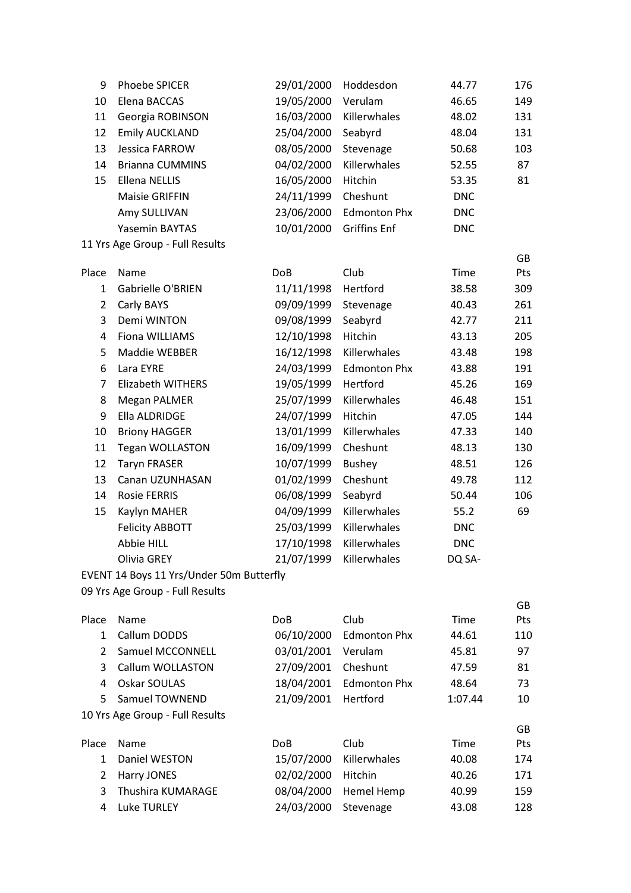| 9              | Phoebe SPICER                            | 29/01/2000 | Hoddesdon           | 44.77      | 176       |
|----------------|------------------------------------------|------------|---------------------|------------|-----------|
| 10             | Elena BACCAS                             | 19/05/2000 | Verulam             | 46.65      | 149       |
| 11             | Georgia ROBINSON                         | 16/03/2000 | Killerwhales        | 48.02      | 131       |
| 12             | <b>Emily AUCKLAND</b>                    | 25/04/2000 | Seabyrd             | 48.04      | 131       |
| 13             | Jessica FARROW                           | 08/05/2000 | Stevenage           | 50.68      | 103       |
| 14             | <b>Brianna CUMMINS</b>                   | 04/02/2000 | Killerwhales        | 52.55      | 87        |
| 15             | <b>Ellena NELLIS</b>                     | 16/05/2000 | Hitchin             | 53.35      | 81        |
|                | <b>Maisie GRIFFIN</b>                    | 24/11/1999 | Cheshunt            | <b>DNC</b> |           |
|                | Amy SULLIVAN                             | 23/06/2000 | <b>Edmonton Phx</b> | <b>DNC</b> |           |
|                | Yasemin BAYTAS                           | 10/01/2000 | <b>Griffins Enf</b> | <b>DNC</b> |           |
|                | 11 Yrs Age Group - Full Results          |            |                     |            |           |
|                |                                          |            |                     |            | <b>GB</b> |
| Place          | Name                                     | DoB        | Club                | Time       | Pts       |
| $\mathbf{1}$   | Gabrielle O'BRIEN                        | 11/11/1998 | Hertford            | 38.58      | 309       |
| $\overline{2}$ | Carly BAYS                               | 09/09/1999 | Stevenage           | 40.43      | 261       |
| 3              | Demi WINTON                              | 09/08/1999 | Seabyrd             | 42.77      | 211       |
| $\overline{4}$ | Fiona WILLIAMS                           | 12/10/1998 | Hitchin             | 43.13      | 205       |
| 5              | Maddie WEBBER                            | 16/12/1998 | Killerwhales        | 43.48      | 198       |
| 6              | Lara EYRE                                | 24/03/1999 | <b>Edmonton Phx</b> | 43.88      | 191       |
| $\overline{7}$ | <b>Elizabeth WITHERS</b>                 | 19/05/1999 | Hertford            | 45.26      | 169       |
| 8              | <b>Megan PALMER</b>                      | 25/07/1999 | Killerwhales        | 46.48      | 151       |
| 9              | Ella ALDRIDGE                            | 24/07/1999 | Hitchin             | 47.05      | 144       |
| $10\,$         | <b>Briony HAGGER</b>                     | 13/01/1999 | Killerwhales        | 47.33      | 140       |
| 11             | <b>Tegan WOLLASTON</b>                   | 16/09/1999 | Cheshunt            | 48.13      | 130       |
| 12             | <b>Taryn FRASER</b>                      | 10/07/1999 | <b>Bushey</b>       | 48.51      | 126       |
| 13             | Canan UZUNHASAN                          | 01/02/1999 | Cheshunt            | 49.78      | 112       |
| 14             | <b>Rosie FERRIS</b>                      | 06/08/1999 | Seabyrd             | 50.44      | 106       |
| 15             | Kaylyn MAHER                             | 04/09/1999 | Killerwhales        | 55.2       | 69        |
|                | <b>Felicity ABBOTT</b>                   | 25/03/1999 | Killerwhales        | <b>DNC</b> |           |
|                | Abbie HILL                               | 17/10/1998 | Killerwhales        | <b>DNC</b> |           |
|                | Olivia GREY                              | 21/07/1999 | Killerwhales        | DQ SA-     |           |
|                | EVENT 14 Boys 11 Yrs/Under 50m Butterfly |            |                     |            |           |
|                | 09 Yrs Age Group - Full Results          |            |                     |            |           |
|                |                                          | DoB        | Club                | Time       | GB        |
| Place          | Name                                     |            |                     |            | Pts       |

| r lacc         | 19 G H I E                      | <b>DUD</b>      | <b>CIUD</b>         | 11111C  | . სა       |
|----------------|---------------------------------|-----------------|---------------------|---------|------------|
| 1              | Callum DODDS                    | 06/10/2000      | <b>Edmonton Phx</b> | 44.61   | 110        |
| 2              | Samuel MCCONNELL                | 03/01/2001      | Verulam             | 45.81   | 97         |
| 3              | Callum WOLLASTON                | 27/09/2001      | Cheshunt            | 47.59   | 81         |
| 4              | Oskar SOULAS                    | 18/04/2001      | <b>Edmonton Phx</b> | 48.64   | 73         |
| 5.             | Samuel TOWNEND                  | 21/09/2001      | Hertford            | 1:07.44 | 10         |
|                | 10 Yrs Age Group - Full Results |                 |                     |         |            |
|                |                                 |                 |                     |         | GB         |
| Place          | Name                            | Do <sub>B</sub> | Club                | Time    | <b>Pts</b> |
| 1              | Daniel WESTON                   | 15/07/2000      | Killerwhales        | 40.08   | 174        |
| $\overline{2}$ | Harry JONES                     | 02/02/2000      | Hitchin             | 40.26   | 171        |
| 3              | Thushira KUMARAGE               | 08/04/2000      | <b>Hemel Hemp</b>   | 40.99   | 159        |
| 4              | Luke TURLEY                     | 24/03/2000      | Stevenage           | 43.08   | 128        |
|                |                                 |                 |                     |         |            |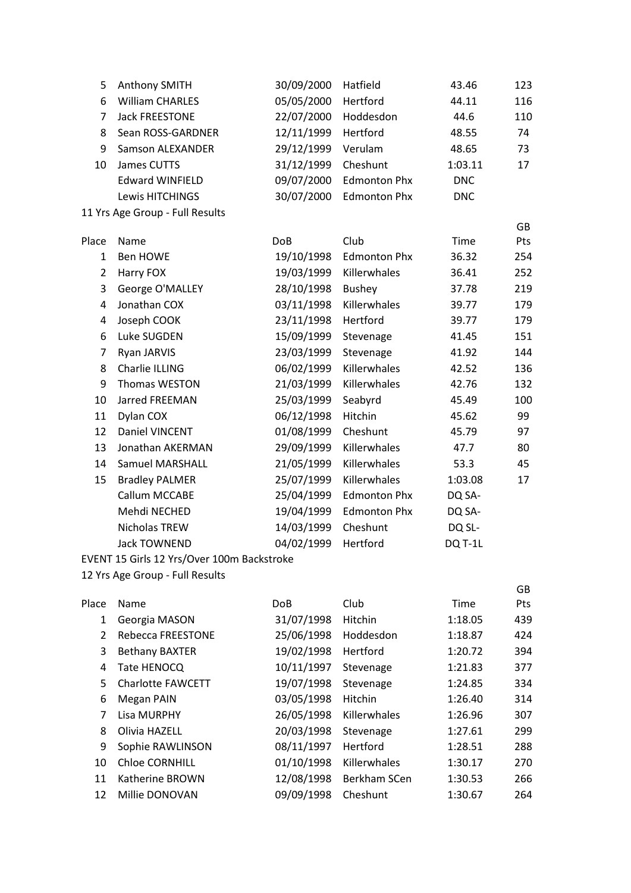| 5              | <b>Anthony SMITH</b>            | 30/09/2000 | Hatfield            | 43.46      | 123 |
|----------------|---------------------------------|------------|---------------------|------------|-----|
| 6              | <b>William CHARLES</b>          | 05/05/2000 | Hertford            | 44.11      | 116 |
| 7              | <b>Jack FREESTONE</b>           | 22/07/2000 | Hoddesdon           | 44.6       | 110 |
| 8              | Sean ROSS-GARDNER               | 12/11/1999 | Hertford            | 48.55      | 74  |
| 9              | <b>Samson ALEXANDER</b>         | 29/12/1999 | Verulam             | 48.65      | 73  |
| 10             | James CUTTS                     | 31/12/1999 | Cheshunt            | 1:03.11    | 17  |
|                | <b>Edward WINFIELD</b>          | 09/07/2000 | <b>Edmonton Phx</b> | <b>DNC</b> |     |
|                | Lewis HITCHINGS                 | 30/07/2000 | <b>Edmonton Phx</b> | <b>DNC</b> |     |
|                | 11 Yrs Age Group - Full Results |            |                     |            |     |
|                |                                 |            |                     |            | GB  |
| Place          | Name                            | <b>DoB</b> | Club                | Time       | Pts |
| $\mathbf{1}$   | <b>Ben HOWE</b>                 | 19/10/1998 | <b>Edmonton Phx</b> | 36.32      | 254 |
| $\overline{2}$ | Harry FOX                       | 19/03/1999 | Killerwhales        | 36.41      | 252 |
| 3              | George O'MALLEY                 | 28/10/1998 | <b>Bushey</b>       | 37.78      | 219 |
| 4              | Jonathan COX                    | 03/11/1998 | Killerwhales        | 39.77      | 179 |
| 4              | Joseph COOK                     | 23/11/1998 | Hertford            | 39.77      | 179 |
| 6              | Luke SUGDEN                     | 15/09/1999 | Stevenage           | 41.45      | 151 |
| $\overline{7}$ | Ryan JARVIS                     | 23/03/1999 | Stevenage           | 41.92      | 144 |
| 8              | Charlie ILLING                  | 06/02/1999 | Killerwhales        | 42.52      | 136 |
| 9              | Thomas WESTON                   | 21/03/1999 | Killerwhales        | 42.76      | 132 |
| 10             | Jarred FREEMAN                  | 25/03/1999 | Seabyrd             | 45.49      | 100 |
| 11             | Dylan COX                       | 06/12/1998 | Hitchin             | 45.62      | 99  |
| 12             | Daniel VINCENT                  | 01/08/1999 | Cheshunt            | 45.79      | 97  |
| 13             | Jonathan AKERMAN                | 29/09/1999 | Killerwhales        | 47.7       | 80  |
| 14             | <b>Samuel MARSHALL</b>          | 21/05/1999 | Killerwhales        | 53.3       | 45  |
| 15             | <b>Bradley PALMER</b>           | 25/07/1999 | Killerwhales        | 1:03.08    | 17  |
|                | Callum MCCABE                   | 25/04/1999 | <b>Edmonton Phx</b> | DQ SA-     |     |
|                | Mehdi NECHED                    | 19/04/1999 | <b>Edmonton Phx</b> | DQ SA-     |     |
|                | Nicholas TREW                   | 14/03/1999 | Cheshunt            | DQ SL-     |     |
|                | <b>Jack TOWNEND</b>             | 04/02/1999 | Hertford            | DQ T-1L    |     |
|                |                                 |            |                     |            |     |

EVENT 15 Girls 12 Yrs/Over 100m Backstroke

|       |                          |            |              |         | GB         |
|-------|--------------------------|------------|--------------|---------|------------|
| Place | <b>Name</b>              | DoB        | Club         | Time    | <b>Pts</b> |
| 1     | Georgia MASON            | 31/07/1998 | Hitchin      | 1:18.05 | 439        |
| 2     | Rebecca FREESTONE        | 25/06/1998 | Hoddesdon    | 1:18.87 | 424        |
| 3     | <b>Bethany BAXTER</b>    | 19/02/1998 | Hertford     | 1:20.72 | 394        |
| 4     | Tate HENOCQ              | 10/11/1997 | Stevenage    | 1:21.83 | 377        |
| 5.    | <b>Charlotte FAWCETT</b> | 19/07/1998 | Stevenage    | 1:24.85 | 334        |
| 6     | Megan PAIN               | 03/05/1998 | Hitchin      | 1:26.40 | 314        |
| 7     | Lisa MURPHY              | 26/05/1998 | Killerwhales | 1:26.96 | 307        |
| 8     | Olivia HAZELL            | 20/03/1998 | Stevenage    | 1:27.61 | 299        |
| 9     | Sophie RAWLINSON         | 08/11/1997 | Hertford     | 1:28.51 | 288        |
| 10    | <b>Chloe CORNHILL</b>    | 01/10/1998 | Killerwhales | 1:30.17 | 270        |
| 11    | Katherine BROWN          | 12/08/1998 | Berkham SCen | 1:30.53 | 266        |
| 12    | Millie DONOVAN           | 09/09/1998 | Cheshunt     | 1:30.67 | 264        |
|       |                          |            |              |         |            |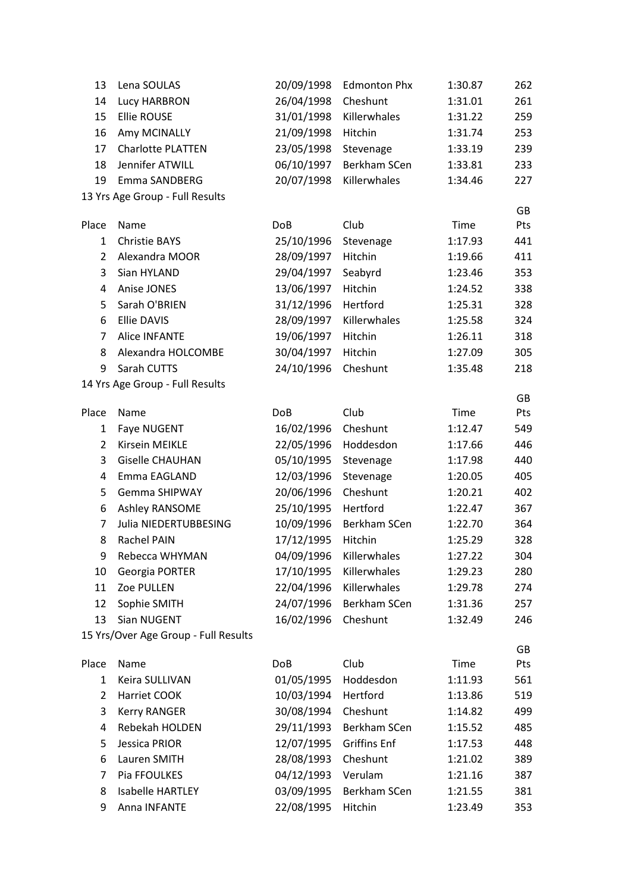| 13             | Lena SOULAS                          | 20/09/1998 | <b>Edmonton Phx</b> | 1:30.87 | 262 |
|----------------|--------------------------------------|------------|---------------------|---------|-----|
| 14             | Lucy HARBRON                         | 26/04/1998 | Cheshunt            | 1:31.01 | 261 |
| 15             | <b>Ellie ROUSE</b>                   | 31/01/1998 | Killerwhales        | 1:31.22 | 259 |
| 16             | Amy MCINALLY                         | 21/09/1998 | Hitchin             | 1:31.74 | 253 |
| 17             | Charlotte PLATTEN                    | 23/05/1998 | Stevenage           | 1:33.19 | 239 |
| 18             | Jennifer ATWILL                      | 06/10/1997 | Berkham SCen        | 1:33.81 | 233 |
| 19             | Emma SANDBERG                        | 20/07/1998 | Killerwhales        | 1:34.46 | 227 |
|                | 13 Yrs Age Group - Full Results      |            |                     |         |     |
|                |                                      |            |                     |         | GB  |
| Place          | Name                                 | <b>DoB</b> | Club                | Time    | Pts |
| $\mathbf{1}$   | <b>Christie BAYS</b>                 | 25/10/1996 | Stevenage           | 1:17.93 | 441 |
| $\overline{2}$ | Alexandra MOOR                       | 28/09/1997 | Hitchin             | 1:19.66 | 411 |
| 3              | Sian HYLAND                          | 29/04/1997 | Seabyrd             | 1:23.46 | 353 |
| 4              | Anise JONES                          | 13/06/1997 | Hitchin             | 1:24.52 | 338 |
| 5              | Sarah O'BRIEN                        | 31/12/1996 | Hertford            | 1:25.31 | 328 |
| 6              | <b>Ellie DAVIS</b>                   | 28/09/1997 | Killerwhales        | 1:25.58 | 324 |
| 7              | <b>Alice INFANTE</b>                 | 19/06/1997 | Hitchin             | 1:26.11 | 318 |
| 8              | Alexandra HOLCOMBE                   | 30/04/1997 | Hitchin             | 1:27.09 | 305 |
| 9              | Sarah CUTTS                          | 24/10/1996 | Cheshunt            | 1:35.48 | 218 |
|                | 14 Yrs Age Group - Full Results      |            |                     |         | GB  |
| Place          | Name                                 | <b>DoB</b> | Club                | Time    | Pts |
| $\mathbf{1}$   | Faye NUGENT                          | 16/02/1996 | Cheshunt            | 1:12.47 | 549 |
| $\overline{2}$ | Kirsein MEIKLE                       | 22/05/1996 | Hoddesdon           | 1:17.66 | 446 |
| 3              | <b>Giselle CHAUHAN</b>               | 05/10/1995 | Stevenage           | 1:17.98 | 440 |
| 4              | Emma EAGLAND                         | 12/03/1996 | Stevenage           | 1:20.05 | 405 |
| 5              | <b>Gemma SHIPWAY</b>                 | 20/06/1996 | Cheshunt            | 1:20.21 | 402 |
| 6              | Ashley RANSOME                       | 25/10/1995 | Hertford            | 1:22.47 | 367 |
| 7              | Julia NIEDERTUBBESING                | 10/09/1996 | Berkham SCen        | 1:22.70 | 364 |
| 8              | Rachel PAIN                          | 17/12/1995 | Hitchin             | 1:25.29 | 328 |
| 9              | Rebecca WHYMAN                       | 04/09/1996 | Killerwhales        | 1:27.22 | 304 |
| 10             | Georgia PORTER                       | 17/10/1995 | Killerwhales        | 1:29.23 | 280 |
| 11             | Zoe PULLEN                           | 22/04/1996 | Killerwhales        | 1:29.78 | 274 |
| 12             | Sophie SMITH                         | 24/07/1996 | Berkham SCen        | 1:31.36 | 257 |
| 13             | Sian NUGENT                          | 16/02/1996 | Cheshunt            | 1:32.49 | 246 |
|                | 15 Yrs/Over Age Group - Full Results |            |                     |         |     |
|                |                                      |            |                     |         | GB  |
| Place          | Name                                 | <b>DoB</b> | Club                | Time    | Pts |
| $\mathbf{1}$   | Keira SULLIVAN                       | 01/05/1995 | Hoddesdon           | 1:11.93 | 561 |
| $\overline{2}$ | Harriet COOK                         | 10/03/1994 | Hertford            | 1:13.86 | 519 |
| 3              | <b>Kerry RANGER</b>                  | 30/08/1994 | Cheshunt            | 1:14.82 | 499 |
| 4              | Rebekah HOLDEN                       | 29/11/1993 | Berkham SCen        | 1:15.52 | 485 |
| 5              | Jessica PRIOR                        | 12/07/1995 | <b>Griffins Enf</b> | 1:17.53 | 448 |
| 6              | Lauren SMITH                         | 28/08/1993 | Cheshunt            | 1:21.02 | 389 |
| 7              | Pia FFOULKES                         | 04/12/1993 | Verulam             | 1:21.16 | 387 |
| 8              | <b>Isabelle HARTLEY</b>              | 03/09/1995 | Berkham SCen        | 1:21.55 | 381 |
| 9              | Anna INFANTE                         | 22/08/1995 | Hitchin             | 1:23.49 | 353 |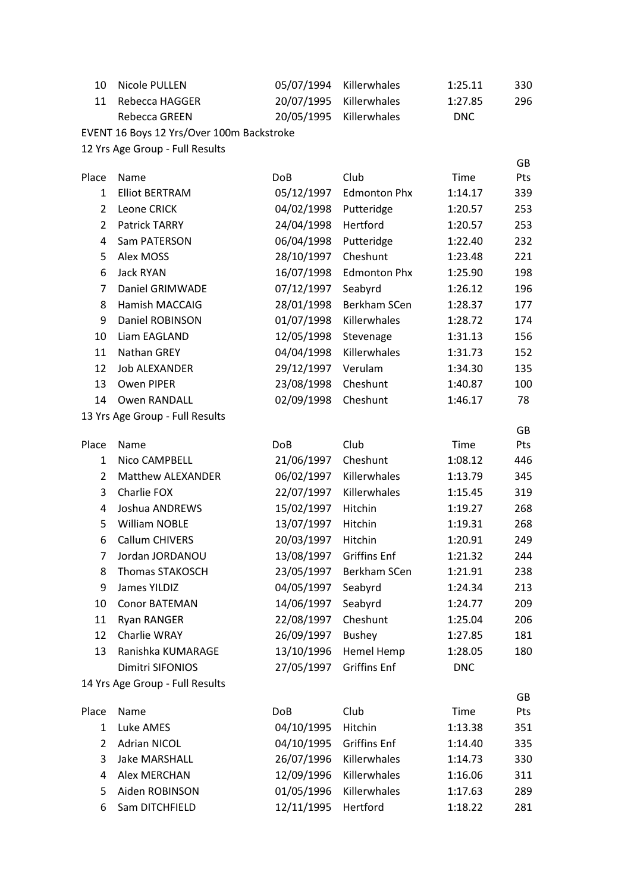| 10 Nicole PULLEN  | 05/07/1994 Killerwhales | 1:25.11    | 330  |
|-------------------|-------------------------|------------|------|
| 11 Rebecca HAGGER | 20/07/1995 Killerwhales | 1:27.85    | 296. |
| Rebecca GREEN     | 20/05/1995 Killerwhales | <b>DNC</b> |      |

EVENT 16 Boys 12 Yrs/Over 100m Backstroke

|                |                                 |            |                     |            | GB  |
|----------------|---------------------------------|------------|---------------------|------------|-----|
| Place          | Name                            | <b>DoB</b> | Club                | Time       | Pts |
| 1              | <b>Elliot BERTRAM</b>           | 05/12/1997 | <b>Edmonton Phx</b> | 1:14.17    | 339 |
| 2              | Leone CRICK                     | 04/02/1998 | Putteridge          | 1:20.57    | 253 |
| $\overline{2}$ | Patrick TARRY                   | 24/04/1998 | Hertford            | 1:20.57    | 253 |
| 4              | Sam PATERSON                    | 06/04/1998 | Putteridge          | 1:22.40    | 232 |
| 5              | Alex MOSS                       | 28/10/1997 | Cheshunt            | 1:23.48    | 221 |
| 6              | <b>Jack RYAN</b>                | 16/07/1998 | <b>Edmonton Phx</b> | 1:25.90    | 198 |
| 7              | Daniel GRIMWADE                 | 07/12/1997 | Seabyrd             | 1:26.12    | 196 |
| 8              | <b>Hamish MACCAIG</b>           | 28/01/1998 | Berkham SCen        | 1:28.37    | 177 |
| 9              | Daniel ROBINSON                 | 01/07/1998 | Killerwhales        | 1:28.72    | 174 |
| 10             | Liam EAGLAND                    | 12/05/1998 | Stevenage           | 1:31.13    | 156 |
| 11             | Nathan GREY                     | 04/04/1998 | Killerwhales        | 1:31.73    | 152 |
| 12             | <b>Job ALEXANDER</b>            | 29/12/1997 | Verulam             | 1:34.30    | 135 |
| 13             | Owen PIPER                      | 23/08/1998 | Cheshunt            | 1:40.87    | 100 |
| 14             | <b>Owen RANDALL</b>             | 02/09/1998 | Cheshunt            | 1:46.17    | 78  |
|                | 13 Yrs Age Group - Full Results |            |                     |            |     |
|                |                                 |            |                     |            | GB  |
| Place          | Name                            | <b>DoB</b> | Club                | Time       | Pts |
| 1              | Nico CAMPBELL                   | 21/06/1997 | Cheshunt            | 1:08.12    | 446 |
| 2              | <b>Matthew ALEXANDER</b>        | 06/02/1997 | Killerwhales        | 1:13.79    | 345 |
| 3              | Charlie FOX                     | 22/07/1997 | Killerwhales        | 1:15.45    | 319 |
| $\overline{4}$ | Joshua ANDREWS                  | 15/02/1997 | Hitchin             | 1:19.27    | 268 |
| 5              | <b>William NOBLE</b>            | 13/07/1997 | Hitchin             | 1:19.31    | 268 |
| 6              | <b>Callum CHIVERS</b>           | 20/03/1997 | Hitchin             | 1:20.91    | 249 |
| 7              | Jordan JORDANOU                 | 13/08/1997 | <b>Griffins Enf</b> | 1:21.32    | 244 |
| 8              | <b>Thomas STAKOSCH</b>          | 23/05/1997 | Berkham SCen        | 1:21.91    | 238 |
| 9              | James YILDIZ                    | 04/05/1997 | Seabyrd             | 1:24.34    | 213 |
| 10             | <b>Conor BATEMAN</b>            | 14/06/1997 | Seabyrd             | 1:24.77    | 209 |
| 11             | <b>Ryan RANGER</b>              | 22/08/1997 | Cheshunt            | 1:25.04    | 206 |
| 12             | Charlie WRAY                    | 26/09/1997 | <b>Bushey</b>       | 1:27.85    | 181 |
| 13             | Ranishka KUMARAGE               | 13/10/1996 | Hemel Hemp          | 1:28.05    | 180 |
|                | Dimitri SIFONIOS                | 27/05/1997 | <b>Griffins Enf</b> | <b>DNC</b> |     |
|                | 14 Yrs Age Group - Full Results |            |                     |            |     |
|                |                                 |            |                     |            | GB  |
| Place          | Name                            | <b>DoB</b> | Club                | Time       | Pts |
| $\mathbf{1}$   | Luke AMES                       | 04/10/1995 | Hitchin             | 1:13.38    | 351 |
| 2              | <b>Adrian NICOL</b>             | 04/10/1995 | <b>Griffins Enf</b> | 1:14.40    | 335 |
| 3              | <b>Jake MARSHALL</b>            | 26/07/1996 | Killerwhales        | 1:14.73    | 330 |
| 4              | <b>Alex MERCHAN</b>             | 12/09/1996 | Killerwhales        | 1:16.06    | 311 |
| 5              | Aiden ROBINSON                  | 01/05/1996 | Killerwhales        | 1:17.63    | 289 |
| 6              | Sam DITCHFIELD                  | 12/11/1995 | Hertford            | 1:18.22    | 281 |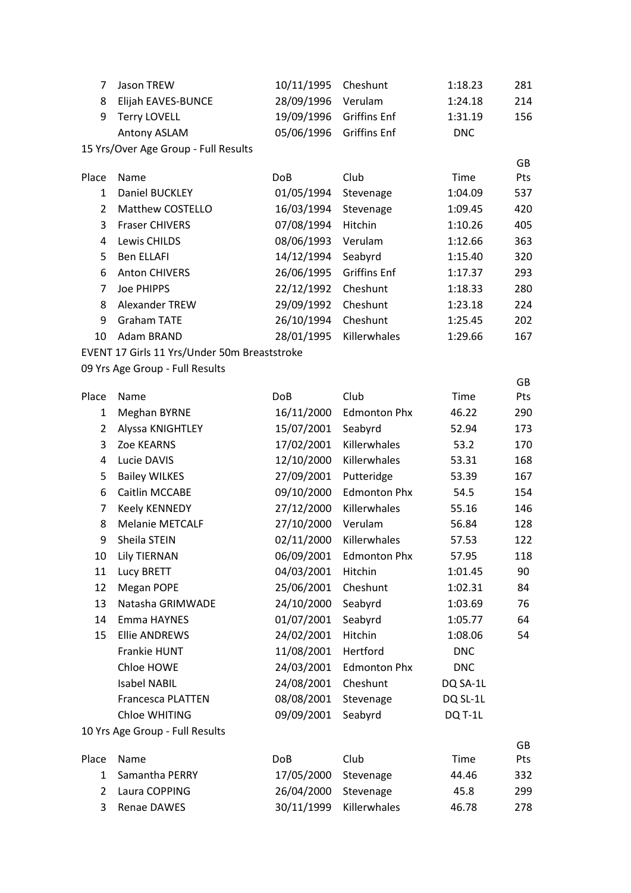| 7              | Jason TREW                                   | 10/11/1995      | Cheshunt            | 1:18.23    | 281       |
|----------------|----------------------------------------------|-----------------|---------------------|------------|-----------|
| 8              | Elijah EAVES-BUNCE                           | 28/09/1996      | Verulam             | 1:24.18    | 214       |
| 9              | <b>Terry LOVELL</b>                          | 19/09/1996      | <b>Griffins Enf</b> | 1:31.19    | 156       |
|                | Antony ASLAM                                 | 05/06/1996      | <b>Griffins Enf</b> | <b>DNC</b> |           |
|                | 15 Yrs/Over Age Group - Full Results         |                 |                     |            |           |
|                |                                              |                 |                     |            | GB        |
| Place          | Name                                         | Do <sub>B</sub> | Club                | Time       | Pts       |
| $\mathbf{1}$   | Daniel BUCKLEY                               | 01/05/1994      | Stevenage           | 1:04.09    | 537       |
| $\overline{2}$ | Matthew COSTELLO                             | 16/03/1994      | Stevenage           | 1:09.45    | 420       |
| 3              | <b>Fraser CHIVERS</b>                        | 07/08/1994      | Hitchin             | 1:10.26    | 405       |
| 4              | Lewis CHILDS                                 | 08/06/1993      | Verulam             | 1:12.66    | 363       |
| 5              | <b>Ben ELLAFI</b>                            | 14/12/1994      | Seabyrd             | 1:15.40    | 320       |
| 6              | <b>Anton CHIVERS</b>                         | 26/06/1995      | <b>Griffins Enf</b> | 1:17.37    | 293       |
| 7              | <b>Joe PHIPPS</b>                            | 22/12/1992      | Cheshunt            | 1:18.33    | 280       |
| 8              | Alexander TREW                               | 29/09/1992      | Cheshunt            | 1:23.18    | 224       |
| 9              | <b>Graham TATE</b>                           | 26/10/1994      | Cheshunt            | 1:25.45    | 202       |
| 10             | Adam BRAND                                   | 28/01/1995      | Killerwhales        | 1:29.66    | 167       |
|                | EVENT 17 Girls 11 Yrs/Under 50m Breaststroke |                 |                     |            |           |
|                | 09 Yrs Age Group - Full Results              |                 |                     |            |           |
| Place          | Name                                         | <b>DoB</b>      | Club                | Time       | GB<br>Pts |
| $\mathbf{1}$   | <b>Meghan BYRNE</b>                          | 16/11/2000      | <b>Edmonton Phx</b> | 46.22      | 290       |
| $\overline{2}$ | Alyssa KNIGHTLEY                             | 15/07/2001      | Seabyrd             | 52.94      | 173       |
| 3              | Zoe KEARNS                                   | 17/02/2001      | Killerwhales        | 53.2       | 170       |
| 4              | Lucie DAVIS                                  | 12/10/2000      | Killerwhales        | 53.31      | 168       |
| 5              | <b>Bailey WILKES</b>                         | 27/09/2001      | Putteridge          | 53.39      | 167       |
| 6              | Caitlin MCCABE                               | 09/10/2000      | <b>Edmonton Phx</b> | 54.5       | 154       |
| $\overline{7}$ | Keely KENNEDY                                | 27/12/2000      | Killerwhales        | 55.16      | 146       |
| 8              | <b>Melanie METCALF</b>                       | 27/10/2000      | Verulam             | 56.84      | 128       |
| 9              | Sheila STEIN                                 | 02/11/2000      | Killerwhales        | 57.53      | 122       |
| 10             | <b>Lily TIERNAN</b>                          | 06/09/2001      | <b>Edmonton Phx</b> | 57.95      | 118       |
| 11             | <b>Lucy BRETT</b>                            | 04/03/2001      | Hitchin             | 1:01.45    | 90        |
| 12             | Megan POPE                                   | 25/06/2001      | Cheshunt            | 1:02.31    | 84        |
| 13             | Natasha GRIMWADE                             | 24/10/2000      | Seabyrd             | 1:03.69    | 76        |
| 14             | Emma HAYNES                                  | 01/07/2001      | Seabyrd             | 1:05.77    | 64        |
| 15             | <b>Ellie ANDREWS</b>                         | 24/02/2001      | Hitchin             | 1:08.06    | 54        |
|                | Frankie HUNT                                 | 11/08/2001      | Hertford            | <b>DNC</b> |           |
|                | Chloe HOWE                                   | 24/03/2001      | <b>Edmonton Phx</b> | <b>DNC</b> |           |
|                | <b>Isabel NABIL</b>                          | 24/08/2001      | Cheshunt            | DQ SA-1L   |           |
|                | <b>Francesca PLATTEN</b>                     | 08/08/2001      | Stevenage           | DQ SL-1L   |           |
|                | Chloe WHITING                                | 09/09/2001      | Seabyrd             | DQ T-1L    |           |
|                | 10 Yrs Age Group - Full Results              |                 |                     |            |           |
|                |                                              |                 |                     |            | GB        |
| Place          | Name                                         | <b>DoB</b>      | Club                | Time       | Pts       |
| $\mathbf{1}$   | Samantha PERRY                               | 17/05/2000      | Stevenage           | 44.46      | 332       |
| $\overline{2}$ | Laura COPPING                                | 26/04/2000      | Stevenage           | 45.8       | 299       |
| 3              | Renae DAWES                                  | 30/11/1999      | Killerwhales        | 46.78      | 278       |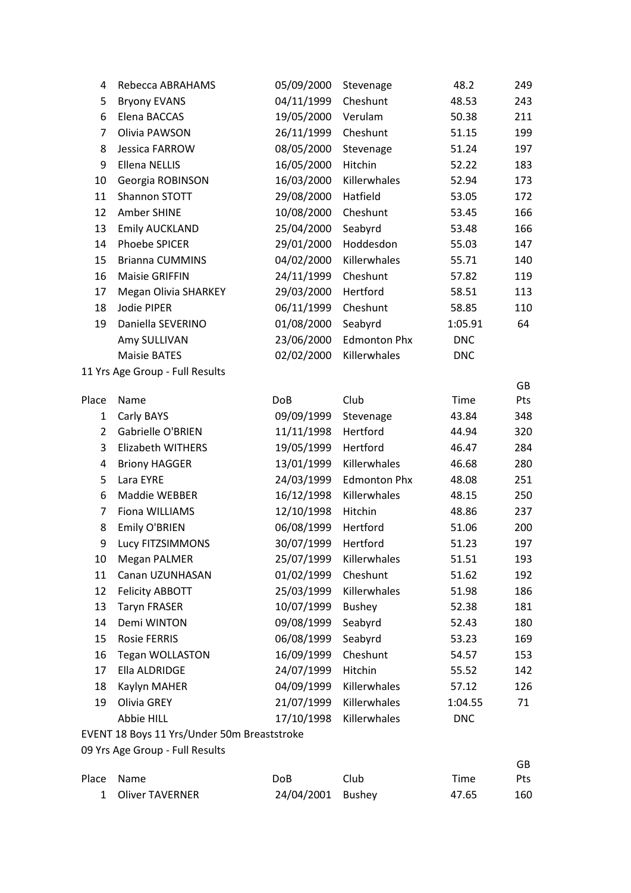| 4                   | Rebecca ABRAHAMS                  | 05/09/2000               | Stevenage           | 48.2           | 249        |
|---------------------|-----------------------------------|--------------------------|---------------------|----------------|------------|
| 5                   | <b>Bryony EVANS</b>               | 04/11/1999               | Cheshunt            | 48.53          | 243        |
| 6                   | Elena BACCAS                      | 19/05/2000               | Verulam             | 50.38          | 211        |
| $\overline{7}$      | Olivia PAWSON                     | 26/11/1999               | Cheshunt            | 51.15          | 199        |
| 8                   | Jessica FARROW                    | 08/05/2000               | Stevenage           | 51.24          | 197        |
| 9                   | <b>Ellena NELLIS</b>              | 16/05/2000               | Hitchin             | 52.22          | 183        |
| 10                  | Georgia ROBINSON                  | 16/03/2000               | Killerwhales        | 52.94          | 173        |
| 11                  | Shannon STOTT                     | 29/08/2000               | Hatfield            | 53.05          | 172        |
| 12                  | Amber SHINE                       | 10/08/2000               | Cheshunt            | 53.45          | 166        |
| 13                  | <b>Emily AUCKLAND</b>             | 25/04/2000               | Seabyrd             | 53.48          | 166        |
| 14                  | Phoebe SPICER                     | 29/01/2000               | Hoddesdon           | 55.03          | 147        |
| 15                  | <b>Brianna CUMMINS</b>            | 04/02/2000               | Killerwhales        | 55.71          | 140        |
| 16                  | <b>Maisie GRIFFIN</b>             | 24/11/1999               | Cheshunt            | 57.82          | 119        |
| 17                  | <b>Megan Olivia SHARKEY</b>       | 29/03/2000               | Hertford            | 58.51          | 113        |
| 18                  | Jodie PIPER                       | 06/11/1999               | Cheshunt            | 58.85          | 110        |
| 19                  | Daniella SEVERINO                 | 01/08/2000               | Seabyrd             | 1:05.91        | 64         |
|                     | Amy SULLIVAN                      | 23/06/2000               | <b>Edmonton Phx</b> | <b>DNC</b>     |            |
|                     | <b>Maisie BATES</b>               | 02/02/2000               | Killerwhales        | <b>DNC</b>     |            |
|                     | 11 Yrs Age Group - Full Results   |                          |                     |                |            |
|                     |                                   |                          |                     |                | GB         |
| Place               | Name                              | <b>DoB</b>               | Club                | Time           | Pts        |
| $\mathbf{1}$        | Carly BAYS                        | 09/09/1999               | Stevenage           | 43.84          | 348        |
| $\overline{2}$      | Gabrielle O'BRIEN                 | 11/11/1998               | Hertford            | 44.94          | 320        |
| 3                   | <b>Elizabeth WITHERS</b>          | 19/05/1999               | Hertford            | 46.47          | 284        |
| 4                   | <b>Briony HAGGER</b>              | 13/01/1999               | Killerwhales        | 46.68          | 280        |
| 5                   | Lara EYRE                         | 24/03/1999               | <b>Edmonton Phx</b> | 48.08          | 251        |
| 6<br>$\overline{7}$ | Maddie WEBBER                     | 16/12/1998               | Killerwhales        | 48.15          | 250        |
|                     | Fiona WILLIAMS                    | 12/10/1998               | Hitchin<br>Hertford | 48.86          | 237        |
| 8<br>9              | Emily O'BRIEN<br>Lucy FITZSIMMONS | 06/08/1999<br>30/07/1999 | Hertford            | 51.06<br>51.23 | 200<br>197 |
|                     | <b>Megan PALMER</b>               | 25/07/1999               | Killerwhales        | 51.51          | 193        |
| 10<br>11            | Canan UZUNHASAN                   | 01/02/1999               | Cheshunt            | 51.62          | 192        |
| 12                  | <b>Felicity ABBOTT</b>            | 25/03/1999               | Killerwhales        | 51.98          | 186        |
| 13                  | <b>Taryn FRASER</b>               | 10/07/1999               | <b>Bushey</b>       | 52.38          | 181        |
| 14                  | Demi WINTON                       | 09/08/1999               | Seabyrd             | 52.43          | 180        |
| 15                  | <b>Rosie FERRIS</b>               | 06/08/1999               | Seabyrd             | 53.23          | 169        |
| 16                  | <b>Tegan WOLLASTON</b>            | 16/09/1999               | Cheshunt            | 54.57          |            |
| 17                  | Ella ALDRIDGE                     | 24/07/1999               | Hitchin             | 55.52          | 153<br>142 |
| 18                  | Kaylyn MAHER                      | 04/09/1999               | Killerwhales        | 57.12          | 126        |
| 19                  | Olivia GREY                       | 21/07/1999               | Killerwhales        | 1:04.55        | 71         |
|                     | Abbie HILL                        | 17/10/1998               | Killerwhales        | <b>DNC</b>     |            |
|                     | $4.4$ Max $h$ Level               |                          |                     |                |            |

EVENT 18 Boys 11 Yrs/Under 50m Breaststroke

|                   |                   |      |       | GB  |
|-------------------|-------------------|------|-------|-----|
| Place Name        | DoB               | Club | Time  | Pts |
| 1 Oliver TAVERNER | 24/04/2001 Bushey |      | 47.65 | 160 |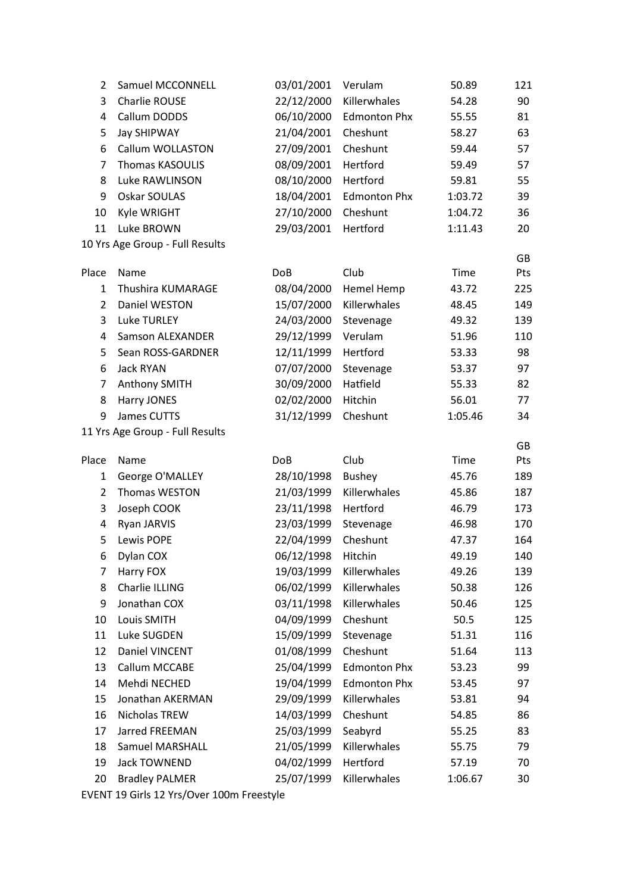| $\overline{2}$ | Samuel MCCONNELL                | 03/01/2001 | Verulam             | 50.89   | 121       |
|----------------|---------------------------------|------------|---------------------|---------|-----------|
| 3              | Charlie ROUSE                   | 22/12/2000 | Killerwhales        | 54.28   | 90        |
| 4              | Callum DODDS                    | 06/10/2000 | <b>Edmonton Phx</b> | 55.55   | 81        |
| 5              | Jay SHIPWAY                     | 21/04/2001 | Cheshunt            | 58.27   | 63        |
| 6              | Callum WOLLASTON                | 27/09/2001 | Cheshunt            | 59.44   | 57        |
| $\overline{7}$ | <b>Thomas KASOULIS</b>          | 08/09/2001 | Hertford            | 59.49   | 57        |
| 8              | Luke RAWLINSON                  | 08/10/2000 | Hertford            | 59.81   | 55        |
| 9              | Oskar SOULAS                    | 18/04/2001 | <b>Edmonton Phx</b> | 1:03.72 | 39        |
| 10             | Kyle WRIGHT                     | 27/10/2000 | Cheshunt            | 1:04.72 | 36        |
| 11             | Luke BROWN                      | 29/03/2001 | Hertford            | 1:11.43 | 20        |
|                | 10 Yrs Age Group - Full Results |            |                     |         |           |
|                |                                 |            |                     |         | GB        |
| Place          | Name                            | DoB        | Club                | Time    | Pts       |
| $\mathbf{1}$   | Thushira KUMARAGE               | 08/04/2000 | <b>Hemel Hemp</b>   | 43.72   | 225       |
| $\overline{2}$ | Daniel WESTON                   | 15/07/2000 | Killerwhales        | 48.45   | 149       |
| 3              | <b>Luke TURLEY</b>              | 24/03/2000 | Stevenage           | 49.32   | 139       |
| 4              | <b>Samson ALEXANDER</b>         | 29/12/1999 | Verulam             | 51.96   | 110       |
| 5              | Sean ROSS-GARDNER               | 12/11/1999 | Hertford            | 53.33   | 98        |
| 6              | <b>Jack RYAN</b>                | 07/07/2000 | Stevenage           | 53.37   | 97        |
| $\overline{7}$ | Anthony SMITH                   | 30/09/2000 | Hatfield            | 55.33   | 82        |
| 8              | Harry JONES                     | 02/02/2000 | Hitchin             | 56.01   | 77        |
| 9              | James CUTTS                     | 31/12/1999 | Cheshunt            | 1:05.46 | 34        |
|                | 11 Yrs Age Group - Full Results |            |                     |         |           |
| Place          | Name                            | <b>DoB</b> | Club                | Time    | GB<br>Pts |
| $\mathbf{1}$   | George O'MALLEY                 | 28/10/1998 | <b>Bushey</b>       | 45.76   | 189       |
| $\overline{2}$ | Thomas WESTON                   | 21/03/1999 | Killerwhales        | 45.86   | 187       |
| 3              | Joseph COOK                     | 23/11/1998 | Hertford            | 46.79   | 173       |
| 4              | Ryan JARVIS                     | 23/03/1999 | Stevenage           | 46.98   | 170       |
| 5              | Lewis POPE                      | 22/04/1999 | Cheshunt            | 47.37   | 164       |
|                | Dylan COX                       | 06/12/1998 | Hitchin             | 49.19   | 140       |
| 6<br>7         | Harry FOX                       | 19/03/1999 | Killerwhales        | 49.26   | 139       |
|                | Charlie ILLING                  |            | Killerwhales        |         |           |
| 8              | Jonathan COX                    | 06/02/1999 |                     | 50.38   | 126       |
| 9              |                                 | 03/11/1998 | Killerwhales        | 50.46   | 125       |
| 10             | Louis SMITH                     | 04/09/1999 | Cheshunt            | 50.5    | 125       |
| 11             | Luke SUGDEN                     | 15/09/1999 | Stevenage           | 51.31   | 116       |
| 12             | Daniel VINCENT                  | 01/08/1999 | Cheshunt            | 51.64   | 113       |
| 13             | Callum MCCABE                   | 25/04/1999 | <b>Edmonton Phx</b> | 53.23   | 99        |
| 14             | Mehdi NECHED                    | 19/04/1999 | <b>Edmonton Phx</b> | 53.45   | 97        |
| 15             | Jonathan AKERMAN                | 29/09/1999 | Killerwhales        | 53.81   | 94        |
| 16             | Nicholas TREW                   | 14/03/1999 | Cheshunt            | 54.85   | 86        |
| 17             | Jarred FREEMAN                  | 25/03/1999 | Seabyrd             | 55.25   | 83        |
| 18             | <b>Samuel MARSHALL</b>          | 21/05/1999 | Killerwhales        | 55.75   | 79        |
| 19             | Jack TOWNEND                    | 04/02/1999 | Hertford            | 57.19   | 70        |
| 20             | <b>Bradley PALMER</b>           | 25/07/1999 | Killerwhales        | 1:06.67 | 30        |

EVENT 19 Girls 12 Yrs/Over 100m Freestyle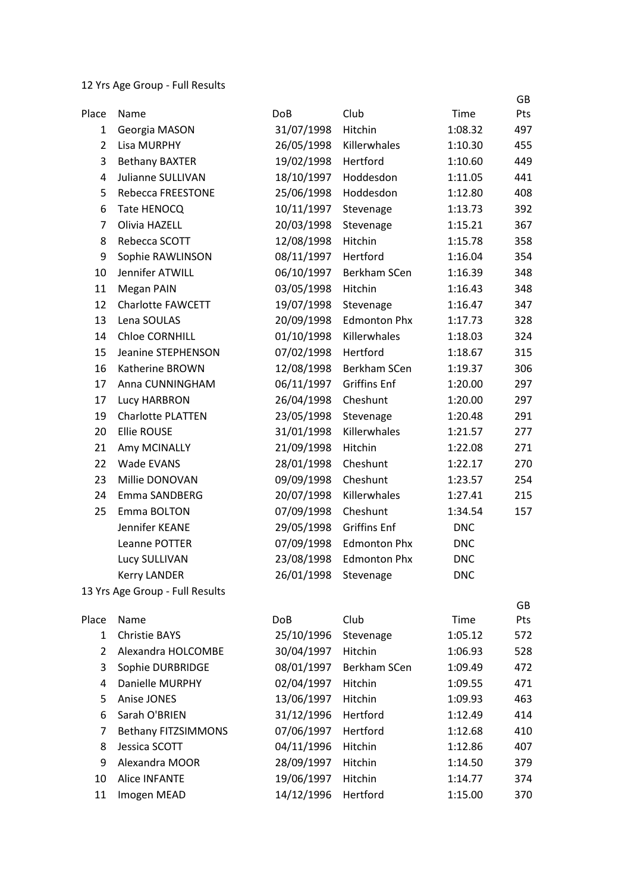12 Yrs Age Group - Full Results

|                |                                 |            |                     |            | GB  |
|----------------|---------------------------------|------------|---------------------|------------|-----|
| Place          | Name                            | <b>DoB</b> | Club                | Time       | Pts |
| 1              | Georgia MASON                   | 31/07/1998 | Hitchin             | 1:08.32    | 497 |
| $\overline{2}$ | Lisa MURPHY                     | 26/05/1998 | Killerwhales        | 1:10.30    | 455 |
| 3              | <b>Bethany BAXTER</b>           | 19/02/1998 | Hertford            | 1:10.60    | 449 |
| 4              | Julianne SULLIVAN               | 18/10/1997 | Hoddesdon           | 1:11.05    | 441 |
| 5              | Rebecca FREESTONE               | 25/06/1998 | Hoddesdon           | 1:12.80    | 408 |
| 6              | Tate HENOCQ                     | 10/11/1997 | Stevenage           | 1:13.73    | 392 |
| $\overline{7}$ | Olivia HAZELL                   | 20/03/1998 | Stevenage           | 1:15.21    | 367 |
| 8              | Rebecca SCOTT                   | 12/08/1998 | Hitchin             | 1:15.78    | 358 |
| 9              | Sophie RAWLINSON                | 08/11/1997 | Hertford            | 1:16.04    | 354 |
| 10             | Jennifer ATWILL                 | 06/10/1997 | Berkham SCen        | 1:16.39    | 348 |
| 11             | Megan PAIN                      | 03/05/1998 | Hitchin             | 1:16.43    | 348 |
| 12             | <b>Charlotte FAWCETT</b>        | 19/07/1998 | Stevenage           | 1:16.47    | 347 |
| 13             | Lena SOULAS                     | 20/09/1998 | <b>Edmonton Phx</b> | 1:17.73    | 328 |
| 14             | <b>Chloe CORNHILL</b>           | 01/10/1998 | Killerwhales        | 1:18.03    | 324 |
| 15             | Jeanine STEPHENSON              | 07/02/1998 | Hertford            | 1:18.67    | 315 |
| 16             | Katherine BROWN                 | 12/08/1998 | Berkham SCen        | 1:19.37    | 306 |
| 17             | Anna CUNNINGHAM                 | 06/11/1997 | <b>Griffins Enf</b> | 1:20.00    | 297 |
| 17             | Lucy HARBRON                    | 26/04/1998 | Cheshunt            | 1:20.00    | 297 |
| 19             | <b>Charlotte PLATTEN</b>        | 23/05/1998 | Stevenage           | 1:20.48    | 291 |
| 20             | <b>Ellie ROUSE</b>              | 31/01/1998 | Killerwhales        | 1:21.57    | 277 |
| 21             | Amy MCINALLY                    | 21/09/1998 | Hitchin             | 1:22.08    | 271 |
| 22             | Wade EVANS                      | 28/01/1998 | Cheshunt            | 1:22.17    | 270 |
| 23             | Millie DONOVAN                  | 09/09/1998 | Cheshunt            | 1:23.57    | 254 |
| 24             | Emma SANDBERG                   | 20/07/1998 | Killerwhales        | 1:27.41    | 215 |
| 25             | Emma BOLTON                     | 07/09/1998 | Cheshunt            | 1:34.54    | 157 |
|                | Jennifer KEANE                  | 29/05/1998 | <b>Griffins Enf</b> | <b>DNC</b> |     |
|                | Leanne POTTER                   | 07/09/1998 | <b>Edmonton Phx</b> | <b>DNC</b> |     |
|                | Lucy SULLIVAN                   | 23/08/1998 | <b>Edmonton Phx</b> | <b>DNC</b> |     |
|                | <b>Kerry LANDER</b>             | 26/01/1998 | Stevenage           | <b>DNC</b> |     |
|                | 13 Yrs Age Group - Full Results |            |                     |            |     |
|                |                                 |            |                     |            | GB  |
| Place          | Name                            | <b>DoB</b> | Club                | Time       | Pts |
| 1              | <b>Christie BAYS</b>            | 25/10/1996 | Stevenage           | 1:05.12    | 572 |
| $\overline{2}$ | Alexandra HOLCOMBE              | 30/04/1997 | Hitchin             | 1:06.93    | 528 |
| 3              | Sophie DURBRIDGE                | 08/01/1997 | Berkham SCen        | 1:09.49    | 472 |
| 4              | Danielle MURPHY                 | 02/04/1997 | Hitchin             | 1:09.55    | 471 |
| 5              | Anise JONES                     | 13/06/1997 | Hitchin             | 1:09.93    | 463 |
| 6              | Sarah O'BRIEN                   | 31/12/1996 | Hertford            | 1:12.49    | 414 |
| 7              | <b>Bethany FITZSIMMONS</b>      | 07/06/1997 | Hertford            | 1:12.68    | 410 |
| 8              | Jessica SCOTT                   | 04/11/1996 | Hitchin             | 1:12.86    | 407 |
| 9              | Alexandra MOOR                  | 28/09/1997 | Hitchin             | 1:14.50    | 379 |
| 10             | <b>Alice INFANTE</b>            | 19/06/1997 | Hitchin             | 1:14.77    | 374 |

Imogen MEAD 14/12/1996 Hertford 1:15.00 370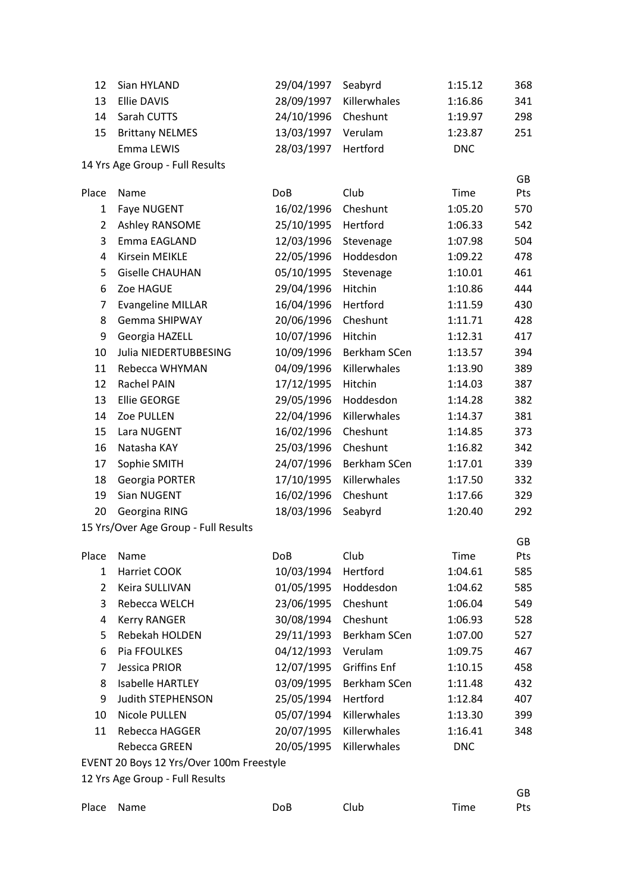| 12             | Sian HYLAND                              | 29/04/1997 | Seabyrd             | 1:15.12    | 368 |
|----------------|------------------------------------------|------------|---------------------|------------|-----|
| 13             | Ellie DAVIS                              | 28/09/1997 | Killerwhales        | 1:16.86    | 341 |
| 14             | Sarah CUTTS                              | 24/10/1996 | Cheshunt            | 1:19.97    | 298 |
| 15             | <b>Brittany NELMES</b>                   | 13/03/1997 | Verulam             | 1:23.87    | 251 |
|                | Emma LEWIS                               | 28/03/1997 | Hertford            | <b>DNC</b> |     |
|                | 14 Yrs Age Group - Full Results          |            |                     |            |     |
|                |                                          |            |                     |            | GB  |
| Place          | Name                                     | <b>DoB</b> | Club                | Time       | Pts |
| 1              | Faye NUGENT                              | 16/02/1996 | Cheshunt            | 1:05.20    | 570 |
| $\overline{2}$ | Ashley RANSOME                           | 25/10/1995 | Hertford            | 1:06.33    | 542 |
| 3              | Emma EAGLAND                             | 12/03/1996 | Stevenage           | 1:07.98    | 504 |
| 4              | Kirsein MEIKLE                           | 22/05/1996 | Hoddesdon           | 1:09.22    | 478 |
| 5              | <b>Giselle CHAUHAN</b>                   | 05/10/1995 | Stevenage           | 1:10.01    | 461 |
| 6              | Zoe HAGUE                                | 29/04/1996 | Hitchin             | 1:10.86    | 444 |
| $\overline{7}$ | <b>Evangeline MILLAR</b>                 | 16/04/1996 | Hertford            | 1:11.59    | 430 |
| 8              | <b>Gemma SHIPWAY</b>                     | 20/06/1996 | Cheshunt            | 1:11.71    | 428 |
| 9              | Georgia HAZELL                           | 10/07/1996 | Hitchin             | 1:12.31    | 417 |
| 10             | Julia NIEDERTUBBESING                    | 10/09/1996 | Berkham SCen        | 1:13.57    | 394 |
| 11             | Rebecca WHYMAN                           | 04/09/1996 | Killerwhales        | 1:13.90    | 389 |
| 12             | Rachel PAIN                              | 17/12/1995 | Hitchin             | 1:14.03    | 387 |
| 13             | <b>Ellie GEORGE</b>                      | 29/05/1996 | Hoddesdon           | 1:14.28    | 382 |
| 14             | Zoe PULLEN                               | 22/04/1996 | Killerwhales        | 1:14.37    | 381 |
| 15             | Lara NUGENT                              | 16/02/1996 | Cheshunt            | 1:14.85    | 373 |
| 16             | Natasha KAY                              | 25/03/1996 | Cheshunt            | 1:16.82    | 342 |
| 17             | Sophie SMITH                             | 24/07/1996 | Berkham SCen        | 1:17.01    | 339 |
| 18             | Georgia PORTER                           | 17/10/1995 | Killerwhales        | 1:17.50    | 332 |
| 19             | Sian NUGENT                              | 16/02/1996 | Cheshunt            | 1:17.66    | 329 |
| 20             | Georgina RING                            | 18/03/1996 | Seabyrd             | 1:20.40    | 292 |
|                | 15 Yrs/Over Age Group - Full Results     |            |                     |            |     |
|                |                                          |            |                     |            | GB  |
| Place          | Name                                     | <b>DoB</b> | Club                | Time       | Pts |
| 1              | Harriet COOK                             | 10/03/1994 | Hertford            | 1:04.61    | 585 |
| $\overline{2}$ | Keira SULLIVAN                           | 01/05/1995 | Hoddesdon           | 1:04.62    | 585 |
| 3              | Rebecca WELCH                            | 23/06/1995 | Cheshunt            | 1:06.04    | 549 |
| 4              | <b>Kerry RANGER</b>                      | 30/08/1994 | Cheshunt            | 1:06.93    | 528 |
| 5              | Rebekah HOLDEN                           | 29/11/1993 | Berkham SCen        | 1:07.00    | 527 |
| 6              | Pia FFOULKES                             | 04/12/1993 | Verulam             | 1:09.75    | 467 |
| 7              | Jessica PRIOR                            | 12/07/1995 | <b>Griffins Enf</b> | 1:10.15    | 458 |
| 8              | <b>Isabelle HARTLEY</b>                  | 03/09/1995 | Berkham SCen        | 1:11.48    | 432 |
| 9              | <b>Judith STEPHENSON</b>                 | 25/05/1994 | Hertford            | 1:12.84    | 407 |
| 10             | Nicole PULLEN                            | 05/07/1994 | Killerwhales        | 1:13.30    | 399 |
| 11             | Rebecca HAGGER                           | 20/07/1995 | Killerwhales        | 1:16.41    | 348 |
|                | Rebecca GREEN                            | 20/05/1995 | Killerwhales        | <b>DNC</b> |     |
|                | EVENT 20 Boys 12 Yrs/Over 100m Freestyle |            |                     |            |     |
|                | 12 Yrs Age Group - Full Results          |            |                     |            | GB  |
| Place          | Name                                     | <b>DoB</b> | Club                | Time       | Pts |
|                |                                          |            |                     |            |     |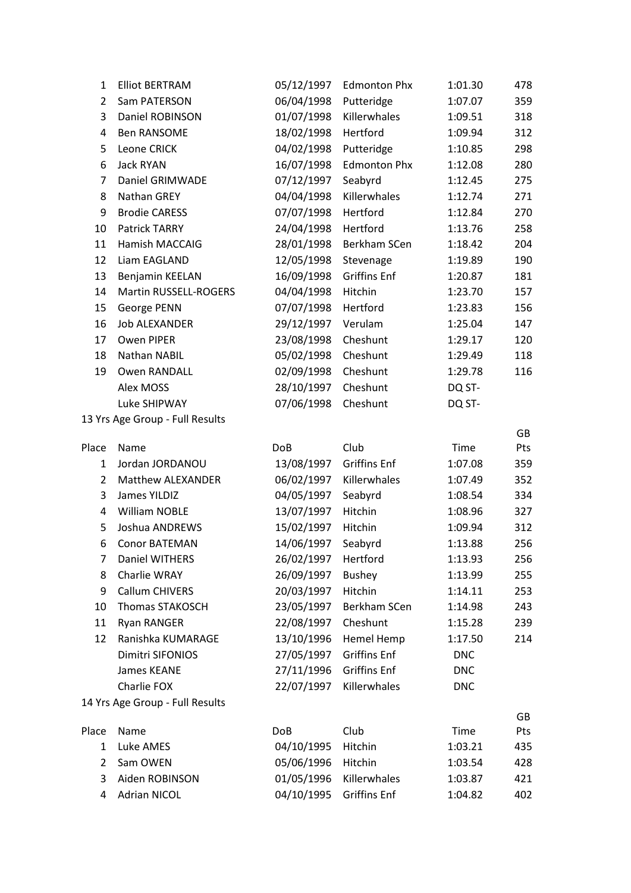| 1                   | <b>Elliot BERTRAM</b>           | 05/12/1997               | <b>Edmonton Phx</b> | 1:01.30         | 478        |
|---------------------|---------------------------------|--------------------------|---------------------|-----------------|------------|
| $\overline{2}$      | Sam PATERSON                    | 06/04/1998               | Putteridge          | 1:07.07         | 359        |
| 3                   | Daniel ROBINSON                 | 01/07/1998               | Killerwhales        | 1:09.51         | 318        |
| 4                   | <b>Ben RANSOME</b>              | 18/02/1998               | Hertford            | 1:09.94         | 312        |
| 5                   | Leone CRICK                     | 04/02/1998               | Putteridge          | 1:10.85         | 298        |
| 6                   | Jack RYAN                       | 16/07/1998               | <b>Edmonton Phx</b> | 1:12.08         | 280        |
| 7                   | Daniel GRIMWADE                 | 07/12/1997               | Seabyrd             | 1:12.45         | 275        |
| 8                   | Nathan GREY                     | 04/04/1998               | Killerwhales        | 1:12.74         | 271        |
| 9                   | <b>Brodie CARESS</b>            | 07/07/1998               | Hertford            | 1:12.84         | 270        |
| 10                  | Patrick TARRY                   | 24/04/1998               | Hertford            | 1:13.76         | 258        |
| 11                  | <b>Hamish MACCAIG</b>           | 28/01/1998               | Berkham SCen        | 1:18.42         | 204        |
| 12                  | Liam EAGLAND                    | 12/05/1998               | Stevenage           | 1:19.89         | 190        |
| 13                  | Benjamin KEELAN                 | 16/09/1998               | <b>Griffins Enf</b> | 1:20.87         | 181        |
| 14                  | Martin RUSSELL-ROGERS           | 04/04/1998               | Hitchin             | 1:23.70         | 157        |
| 15                  | George PENN                     | 07/07/1998               | Hertford            | 1:23.83         | 156        |
| 16                  | <b>Job ALEXANDER</b>            | 29/12/1997               | Verulam             | 1:25.04         | 147        |
| 17                  | Owen PIPER                      | 23/08/1998               | Cheshunt            | 1:29.17         | 120        |
| 18                  | Nathan NABIL                    | 05/02/1998               | Cheshunt            | 1:29.49         | 118        |
| 19                  | <b>Owen RANDALL</b>             | 02/09/1998               | Cheshunt            | 1:29.78         | 116        |
|                     | Alex MOSS                       | 28/10/1997               | Cheshunt            | DQ ST-          |            |
|                     | Luke SHIPWAY                    | 07/06/1998               | Cheshunt            | DQ ST-          |            |
|                     | 13 Yrs Age Group - Full Results |                          |                     |                 |            |
|                     |                                 |                          |                     |                 | GB         |
| Place               | Name                            | <b>DoB</b>               | Club                | Time            | Pts        |
| $\mathbf{1}$        | Jordan JORDANOU                 | 13/08/1997               | <b>Griffins Enf</b> | 1:07.08         | 359        |
| $\overline{2}$      | Matthew ALEXANDER               | 06/02/1997               | Killerwhales        | 1:07.49         | 352        |
| 3                   | James YILDIZ                    | 04/05/1997               | Seabyrd             | 1:08.54         | 334        |
| 4                   | <b>William NOBLE</b>            | 13/07/1997               | Hitchin             | 1:08.96         | 327        |
| 5                   | Joshua ANDREWS                  | 15/02/1997               | Hitchin             | 1:09.94         | 312        |
| 6                   | <b>Conor BATEMAN</b>            | 14/06/1997               | Seabyrd             | 1:13.88         | 256        |
| 7                   | <b>Daniel WITHERS</b>           | 26/02/1997               | Hertford            | 1:13.93         | 256        |
| 8                   | Charlie WRAY                    | 26/09/1997               | <b>Bushey</b>       | 1:13.99         | 255        |
| 9                   | Callum CHIVERS                  | 20/03/1997               | Hitchin             | 1:14.11         | 253        |
| 10                  | Thomas STAKOSCH                 | 23/05/1997               | Berkham SCen        | 1:14.98         | 243        |
| 11                  | <b>Ryan RANGER</b>              | 22/08/1997               | Cheshunt            | 1:15.28         | 239        |
| 12                  | Ranishka KUMARAGE               | 13/10/1996               | Hemel Hemp          | 1:17.50         | 214        |
|                     | Dimitri SIFONIOS                | 27/05/1997               | <b>Griffins Enf</b> | <b>DNC</b>      |            |
|                     | James KEANE                     | 27/11/1996               | <b>Griffins Enf</b> | <b>DNC</b>      |            |
|                     | Charlie FOX                     | 22/07/1997               | Killerwhales        | <b>DNC</b>      |            |
|                     | 14 Yrs Age Group - Full Results |                          |                     |                 |            |
|                     |                                 |                          | Club                |                 | GB         |
| Place               | Name<br>Luke AMES               | <b>DoB</b><br>04/10/1995 | Hitchin             | Time<br>1:03.21 | Pts<br>435 |
| 1<br>$\overline{2}$ | Sam OWEN                        | 05/06/1996               | Hitchin             | 1:03.54         | 428        |
| 3                   | Aiden ROBINSON                  | 01/05/1996               | Killerwhales        |                 |            |
|                     |                                 |                          |                     | 1:03.87         | 421        |
| 4                   | <b>Adrian NICOL</b>             | 04/10/1995               | <b>Griffins Enf</b> | 1:04.82         | 402        |